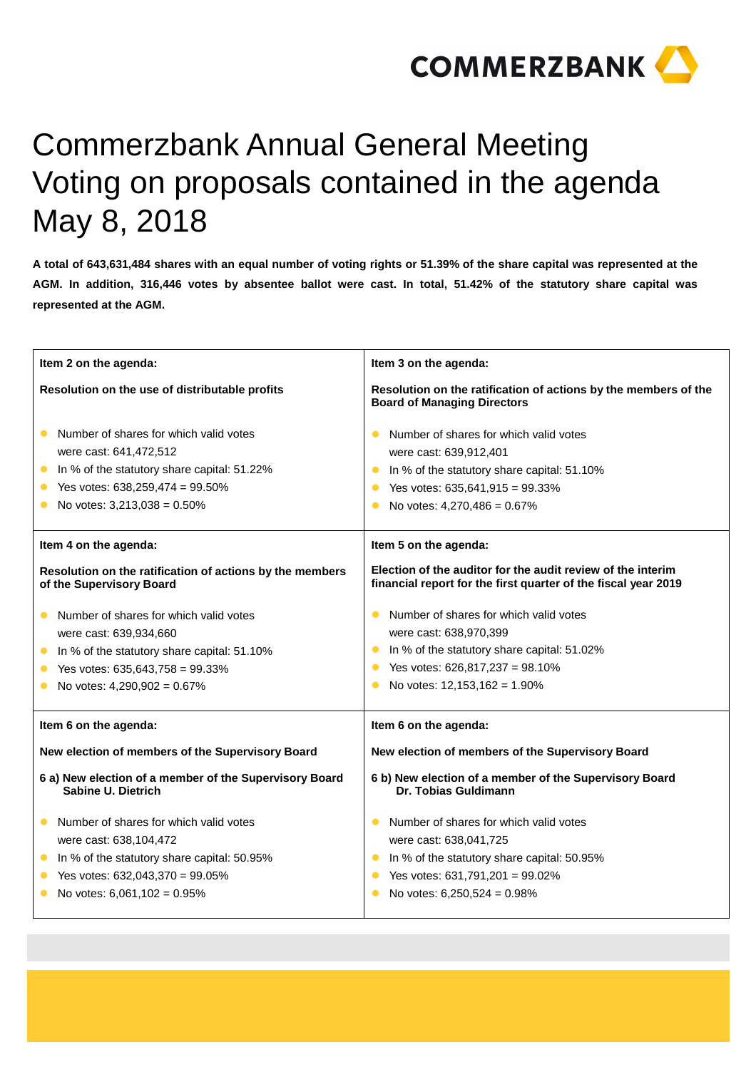

## Commerzbank Annual General Meeting Voting on proposals contained in the agenda May 8, 2018

**A total of 643,631,484 shares with an equal number of voting rights or 51.39% of the share capital was represented at the AGM. In addition, 316,446 votes by absentee ballot were cast. In total, 51.42% of the statutory share capital was represented at the AGM.** 

| Item 2 on the agenda:                                                                | Item 3 on the agenda:                                                                                                         |
|--------------------------------------------------------------------------------------|-------------------------------------------------------------------------------------------------------------------------------|
| Resolution on the use of distributable profits                                       | Resolution on the ratification of actions by the members of the<br><b>Board of Managing Directors</b>                         |
| Number of shares for which valid votes                                               | Number of shares for which valid votes<br>$\bullet$                                                                           |
| were cast: 641,472,512                                                               | were cast: 639,912,401                                                                                                        |
| In % of the statutory share capital: 51.22%<br>$\bullet$                             | In % of the statutory share capital: 51.10%<br>$\bullet$                                                                      |
| Yes votes: $638,259,474 = 99.50\%$                                                   | Yes votes: $635,641,915 = 99.33\%$                                                                                            |
| No votes: $3,213,038 = 0.50\%$                                                       | No votes: 4,270,486 = 0.67%<br>$\bullet$                                                                                      |
| Item 4 on the agenda:                                                                | Item 5 on the agenda:                                                                                                         |
| Resolution on the ratification of actions by the members<br>of the Supervisory Board | Election of the auditor for the audit review of the interim<br>financial report for the first quarter of the fiscal year 2019 |
| Number of shares for which valid votes                                               | Number of shares for which valid votes<br>$\bullet$                                                                           |
| were cast: 639,934,660                                                               | were cast: 638,970,399                                                                                                        |
| In % of the statutory share capital: 51.10%<br>$\bullet$                             | In % of the statutory share capital: 51.02%<br>$\bullet$                                                                      |
| Yes votes: $635,643,758 = 99.33\%$                                                   | Yes votes: 626,817,237 = 98.10%<br>$\bullet$                                                                                  |
| No votes: 4,290,902 = 0.67%                                                          | No votes: 12,153,162 = 1.90%                                                                                                  |
| Item 6 on the agenda:                                                                | Item 6 on the agenda:                                                                                                         |
| New election of members of the Supervisory Board                                     | New election of members of the Supervisory Board                                                                              |
| 6 a) New election of a member of the Supervisory Board<br>Sabine U. Dietrich         | 6 b) New election of a member of the Supervisory Board<br>Dr. Tobias Guldimann                                                |
| Number of shares for which valid votes<br>$\bullet$                                  | Number of shares for which valid votes                                                                                        |
| were cast: 638,104,472                                                               | were cast: 638,041,725                                                                                                        |
| In % of the statutory share capital: 50.95%<br>$\bullet$                             | In % of the statutory share capital: 50.95%<br>$\bullet$                                                                      |
| Yes votes: 632,043,370 = 99.05%                                                      | Yes votes: 631,791,201 = 99.02%<br>$\bullet$                                                                                  |
| No votes: $6,061,102 = 0.95\%$                                                       | No votes: 6,250,524 = 0.98%                                                                                                   |